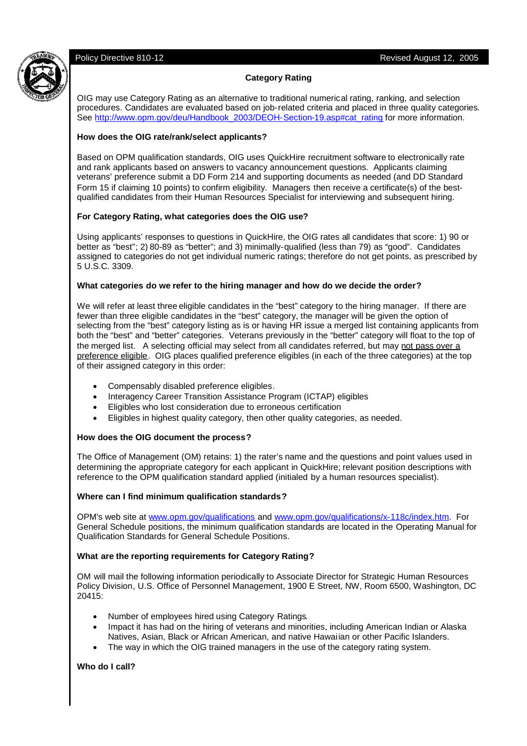

### **Category Rating**

OIG may use Category Rating as an alternative to traditional numerical rating, ranking, and selection procedures. Candidates are evaluated based on job-related criteria and placed in three quality categories. See http://www.opm.gov/deu/Handbook\_2003/DEOH-Section-19.asp#cat\_rating for more information.

### **How does the OIG rate/rank/select applicants?**

Based on OPM qualification standards, OIG uses QuickHire recruitment software to electronically rate and rank applicants based on answers to vacancy announcement questions. Applicants claiming veterans' preference submit a DD Form 214 and supporting documents as needed (and DD Standard Form 15 if claiming 10 points) to confirm eligibility. Managers then receive a certificate(s) of the bestqualified candidates from their Human Resources Specialist for interviewing and subsequent hiring.

### **For Category Rating, what categories does the OIG use?**

Using applicants' responses to questions in QuickHire, the OIG rates all candidates that score: 1) 90 or better as "best"; 2) 80-89 as "better"; and 3) minimally-qualified (less than 79) as "good". Candidates assigned to categories do not get individual numeric ratings; therefore do not get points, as prescribed by 5 U.S.C. 3309.

#### **What categories do we refer to the hiring manager and how do we decide the order?**

We will refer at least three eligible candidates in the "best" category to the hiring manager. If there are fewer than three eligible candidates in the "best" category, the manager will be given the option of selecting from the "best" category listing as is or having HR issue a merged list containing applicants from both the "best" and "better" categories. Veterans previously in the "better" category will float to the top of the merged list. A selecting official may select from all candidates referred, but may not pass over a preference eligible. OIG places qualified preference eligibles (in each of the three categories) at the top of their assigned category in this order:

- Compensably disabled preference eligibles.
- Interagency Career Transition Assistance Program (ICTAP) eligibles
- Eligibles who lost consideration due to erroneous certification
- Eligibles in highest quality category, then other quality categories, as needed.

#### **How does the OIG document the process?**

The Office of Management (OM) retains: 1) the rater's name and the questions and point values used in determining the appropriate category for each applicant in QuickHire; relevant position descriptions with reference to the OPM qualification standard applied (initialed by a human resources specialist).

# **Where can I find minimum qualification standards?**

OPM's web site at www.opm.gov/qualifications and www.opm.gov/qualifications/x-118c/index.htm. For General Schedule positions, the minimum qualification standards are located in the Operating Manual for Qualification Standards for General Schedule Positions.

# **What are the reporting requirements for Category Rating?**

OM will mail the following information periodically to Associate Director for Strategic Human Resources Policy Division, U.S. Office of Personnel Management, 1900 E Street, NW, Room 6500, Washington, DC 20415:

- Number of employees hired using Category Ratings.
- Impact it has had on the hiring of veterans and minorities, including American Indian or Alaska Natives, Asian, Black or African American, and native Hawaiian or other Pacific Islanders.
- The way in which the OIG trained managers in the use of the category rating system.

# **Who do I call?**